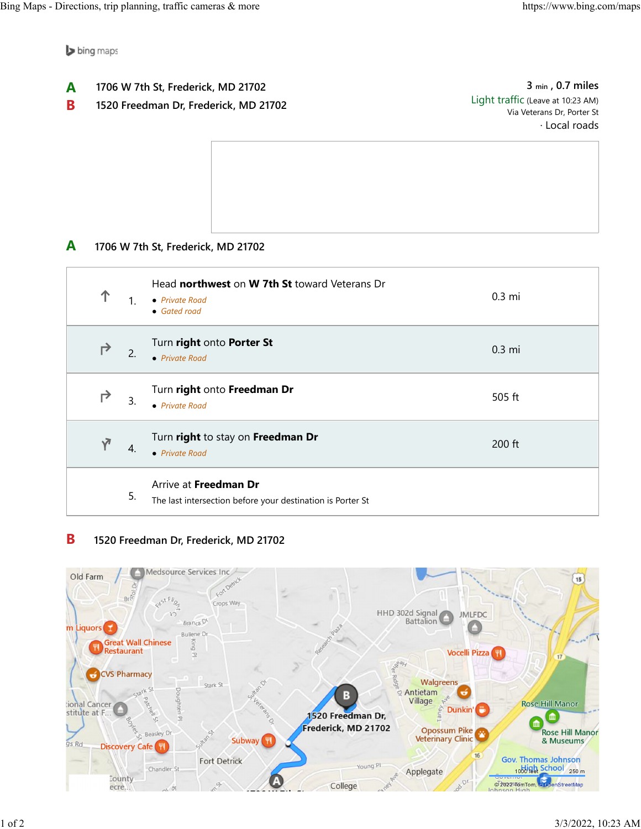bing maps

- **1706 W 7th St, Frederick, MD 21702 A**
- **1520 Freedman Dr, Frederick, MD 21702 B**

**3 min , 0.7 miles** Light traffic (Leave at 10:23 AM) Via Veterans Dr, Porter St · Local roads

**1706 W 7th St, Frederick, MD 21702 A**

| 个          | $\mathbf{1}$          | Head northwest on W 7th St toward Veterans Dr<br>• Private Road<br>• Gated road     | $0.3 \text{ mi}$ |
|------------|-----------------------|-------------------------------------------------------------------------------------|------------------|
| ↱          | 2.                    | Turn right onto Porter St<br>$\bullet$ Private Road                                 | $0.3 \text{ mi}$ |
| ↱          | 3.                    | Turn right onto Freedman Dr<br>• Private Road                                       | 505 ft           |
| $\sqrt{ }$ | $\mathcal{A}_{\cdot}$ | Turn right to stay on Freedman Dr<br>• Private Road                                 | $200$ ft         |
|            | 5.                    | Arrive at Freedman Dr<br>The last intersection before your destination is Porter St |                  |

## **1520 Freedman Dr, Frederick, MD 21702 B**